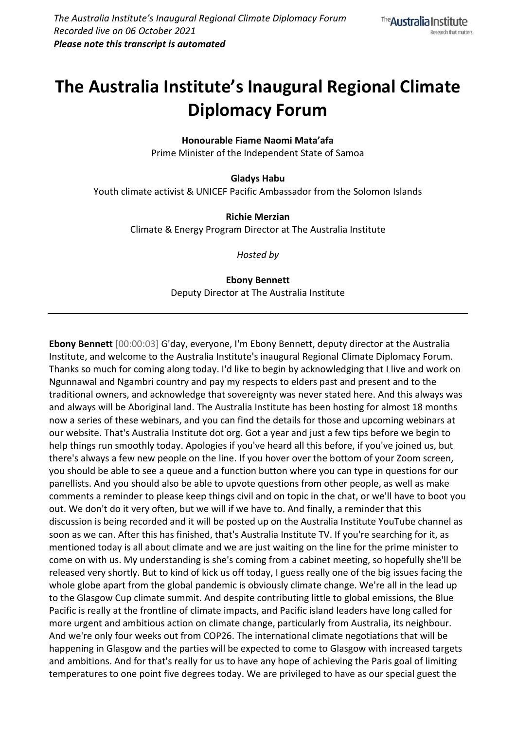## **The Australia Institute's Inaugural Regional Climate Diplomacy Forum**

**Honourable Fiame Naomi Mata'afa** Prime Minister of the Independent State of Samoa

**Gladys Habu** Youth climate activist & UNICEF Pacific Ambassador from the Solomon Islands

> **Richie Merzian** Climate & Energy Program Director at The Australia Institute

> > *Hosted by*

**Ebony Bennett** Deputy Director at The Australia Institute

**Ebony Bennett** [00:00:03] G'day, everyone, I'm Ebony Bennett, deputy director at the Australia Institute, and welcome to the Australia Institute's inaugural Regional Climate Diplomacy Forum. Thanks so much for coming along today. I'd like to begin by acknowledging that I live and work on Ngunnawal and Ngambri country and pay my respects to elders past and present and to the traditional owners, and acknowledge that sovereignty was never stated here. And this always was and always will be Aboriginal land. The Australia Institute has been hosting for almost 18 months now a series of these webinars, and you can find the details for those and upcoming webinars at our website. That's Australia Institute dot org. Got a year and just a few tips before we begin to help things run smoothly today. Apologies if you've heard all this before, if you've joined us, but there's always a few new people on the line. If you hover over the bottom of your Zoom screen, you should be able to see a queue and a function button where you can type in questions for our panellists. And you should also be able to upvote questions from other people, as well as make comments a reminder to please keep things civil and on topic in the chat, or we'll have to boot you out. We don't do it very often, but we will if we have to. And finally, a reminder that this discussion is being recorded and it will be posted up on the Australia Institute YouTube channel as soon as we can. After this has finished, that's Australia Institute TV. If you're searching for it, as mentioned today is all about climate and we are just waiting on the line for the prime minister to come on with us. My understanding is she's coming from a cabinet meeting, so hopefully she'll be released very shortly. But to kind of kick us off today, I guess really one of the big issues facing the whole globe apart from the global pandemic is obviously climate change. We're all in the lead up to the Glasgow Cup climate summit. And despite contributing little to global emissions, the Blue Pacific is really at the frontline of climate impacts, and Pacific island leaders have long called for more urgent and ambitious action on climate change, particularly from Australia, its neighbour. And we're only four weeks out from COP26. The international climate negotiations that will be happening in Glasgow and the parties will be expected to come to Glasgow with increased targets and ambitions. And for that's really for us to have any hope of achieving the Paris goal of limiting temperatures to one point five degrees today. We are privileged to have as our special guest the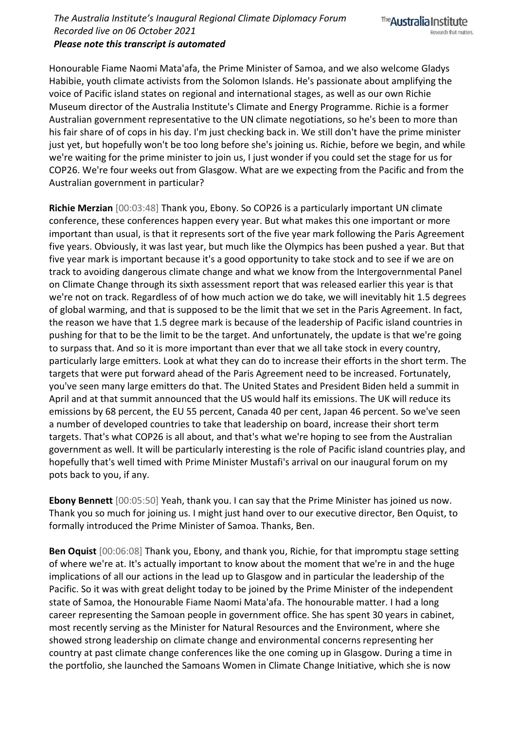*The Australia Institute's Inaugural Regional Climate Diplomacy Forum Recorded live on 06 October 2021 Please note this transcript is automated*

Honourable Fiame Naomi Mata'afa, the Prime Minister of Samoa, and we also welcome Gladys Habibie, youth climate activists from the Solomon Islands. He's passionate about amplifying the voice of Pacific island states on regional and international stages, as well as our own Richie Museum director of the Australia Institute's Climate and Energy Programme. Richie is a former Australian government representative to the UN climate negotiations, so he's been to more than his fair share of of cops in his day. I'm just checking back in. We still don't have the prime minister just yet, but hopefully won't be too long before she's joining us. Richie, before we begin, and while we're waiting for the prime minister to join us, I just wonder if you could set the stage for us for COP26. We're four weeks out from Glasgow. What are we expecting from the Pacific and from the Australian government in particular?

**Richie Merzian** [00:03:48] Thank you, Ebony. So COP26 is a particularly important UN climate conference, these conferences happen every year. But what makes this one important or more important than usual, is that it represents sort of the five year mark following the Paris Agreement five years. Obviously, it was last year, but much like the Olympics has been pushed a year. But that five year mark is important because it's a good opportunity to take stock and to see if we are on track to avoiding dangerous climate change and what we know from the Intergovernmental Panel on Climate Change through its sixth assessment report that was released earlier this year is that we're not on track. Regardless of of how much action we do take, we will inevitably hit 1.5 degrees of global warming, and that is supposed to be the limit that we set in the Paris Agreement. In fact, the reason we have that 1.5 degree mark is because of the leadership of Pacific island countries in pushing for that to be the limit to be the target. And unfortunately, the update is that we're going to surpass that. And so it is more important than ever that we all take stock in every country, particularly large emitters. Look at what they can do to increase their efforts in the short term. The targets that were put forward ahead of the Paris Agreement need to be increased. Fortunately, you've seen many large emitters do that. The United States and President Biden held a summit in April and at that summit announced that the US would half its emissions. The UK will reduce its emissions by 68 percent, the EU 55 percent, Canada 40 per cent, Japan 46 percent. So we've seen a number of developed countries to take that leadership on board, increase their short term targets. That's what COP26 is all about, and that's what we're hoping to see from the Australian government as well. It will be particularly interesting is the role of Pacific island countries play, and hopefully that's well timed with Prime Minister Mustafi's arrival on our inaugural forum on my pots back to you, if any.

**Ebony Bennett** [00:05:50] Yeah, thank you. I can say that the Prime Minister has joined us now. Thank you so much for joining us. I might just hand over to our executive director, Ben Oquist, to formally introduced the Prime Minister of Samoa. Thanks, Ben.

**Ben Oquist** [00:06:08] Thank you, Ebony, and thank you, Richie, for that impromptu stage setting of where we're at. It's actually important to know about the moment that we're in and the huge implications of all our actions in the lead up to Glasgow and in particular the leadership of the Pacific. So it was with great delight today to be joined by the Prime Minister of the independent state of Samoa, the Honourable Fiame Naomi Mata'afa. The honourable matter. I had a long career representing the Samoan people in government office. She has spent 30 years in cabinet, most recently serving as the Minister for Natural Resources and the Environment, where she showed strong leadership on climate change and environmental concerns representing her country at past climate change conferences like the one coming up in Glasgow. During a time in the portfolio, she launched the Samoans Women in Climate Change Initiative, which she is now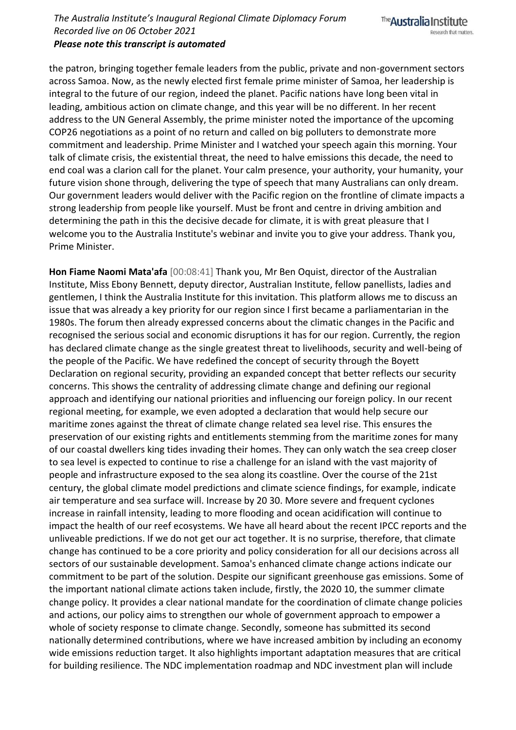*Please note this transcript is automated*

the patron, bringing together female leaders from the public, private and non-government sectors across Samoa. Now, as the newly elected first female prime minister of Samoa, her leadership is integral to the future of our region, indeed the planet. Pacific nations have long been vital in leading, ambitious action on climate change, and this year will be no different. In her recent address to the UN General Assembly, the prime minister noted the importance of the upcoming COP26 negotiations as a point of no return and called on big polluters to demonstrate more commitment and leadership. Prime Minister and I watched your speech again this morning. Your talk of climate crisis, the existential threat, the need to halve emissions this decade, the need to end coal was a clarion call for the planet. Your calm presence, your authority, your humanity, your future vision shone through, delivering the type of speech that many Australians can only dream. Our government leaders would deliver with the Pacific region on the frontline of climate impacts a strong leadership from people like yourself. Must be front and centre in driving ambition and determining the path in this the decisive decade for climate, it is with great pleasure that I welcome you to the Australia Institute's webinar and invite you to give your address. Thank you, Prime Minister.

**Hon Fiame Naomi Mata'afa** [00:08:41] Thank you, Mr Ben Oquist, director of the Australian Institute, Miss Ebony Bennett, deputy director, Australian Institute, fellow panellists, ladies and gentlemen, I think the Australia Institute for this invitation. This platform allows me to discuss an issue that was already a key priority for our region since I first became a parliamentarian in the 1980s. The forum then already expressed concerns about the climatic changes in the Pacific and recognised the serious social and economic disruptions it has for our region. Currently, the region has declared climate change as the single greatest threat to livelihoods, security and well-being of the people of the Pacific. We have redefined the concept of security through the Boyett Declaration on regional security, providing an expanded concept that better reflects our security concerns. This shows the centrality of addressing climate change and defining our regional approach and identifying our national priorities and influencing our foreign policy. In our recent regional meeting, for example, we even adopted a declaration that would help secure our maritime zones against the threat of climate change related sea level rise. This ensures the preservation of our existing rights and entitlements stemming from the maritime zones for many of our coastal dwellers king tides invading their homes. They can only watch the sea creep closer to sea level is expected to continue to rise a challenge for an island with the vast majority of people and infrastructure exposed to the sea along its coastline. Over the course of the 21st century, the global climate model predictions and climate science findings, for example, indicate air temperature and sea surface will. Increase by 20 30. More severe and frequent cyclones increase in rainfall intensity, leading to more flooding and ocean acidification will continue to impact the health of our reef ecosystems. We have all heard about the recent IPCC reports and the unliveable predictions. If we do not get our act together. It is no surprise, therefore, that climate change has continued to be a core priority and policy consideration for all our decisions across all sectors of our sustainable development. Samoa's enhanced climate change actions indicate our commitment to be part of the solution. Despite our significant greenhouse gas emissions. Some of the important national climate actions taken include, firstly, the 2020 10, the summer climate change policy. It provides a clear national mandate for the coordination of climate change policies and actions, our policy aims to strengthen our whole of government approach to empower a whole of society response to climate change. Secondly, someone has submitted its second nationally determined contributions, where we have increased ambition by including an economy wide emissions reduction target. It also highlights important adaptation measures that are critical for building resilience. The NDC implementation roadmap and NDC investment plan will include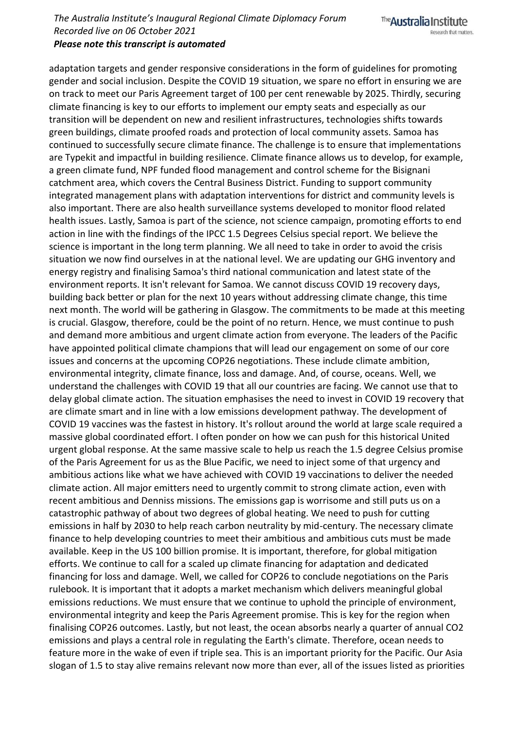## *Please note this transcript is automated*

adaptation targets and gender responsive considerations in the form of guidelines for promoting gender and social inclusion. Despite the COVID 19 situation, we spare no effort in ensuring we are on track to meet our Paris Agreement target of 100 per cent renewable by 2025. Thirdly, securing climate financing is key to our efforts to implement our empty seats and especially as our transition will be dependent on new and resilient infrastructures, technologies shifts towards green buildings, climate proofed roads and protection of local community assets. Samoa has continued to successfully secure climate finance. The challenge is to ensure that implementations are Typekit and impactful in building resilience. Climate finance allows us to develop, for example, a green climate fund, NPF funded flood management and control scheme for the Bisignani catchment area, which covers the Central Business District. Funding to support community integrated management plans with adaptation interventions for district and community levels is also important. There are also health surveillance systems developed to monitor flood related health issues. Lastly, Samoa is part of the science, not science campaign, promoting efforts to end action in line with the findings of the IPCC 1.5 Degrees Celsius special report. We believe the science is important in the long term planning. We all need to take in order to avoid the crisis situation we now find ourselves in at the national level. We are updating our GHG inventory and energy registry and finalising Samoa's third national communication and latest state of the environment reports. It isn't relevant for Samoa. We cannot discuss COVID 19 recovery days, building back better or plan for the next 10 years without addressing climate change, this time next month. The world will be gathering in Glasgow. The commitments to be made at this meeting is crucial. Glasgow, therefore, could be the point of no return. Hence, we must continue to push and demand more ambitious and urgent climate action from everyone. The leaders of the Pacific have appointed political climate champions that will lead our engagement on some of our core issues and concerns at the upcoming COP26 negotiations. These include climate ambition, environmental integrity, climate finance, loss and damage. And, of course, oceans. Well, we understand the challenges with COVID 19 that all our countries are facing. We cannot use that to delay global climate action. The situation emphasises the need to invest in COVID 19 recovery that are climate smart and in line with a low emissions development pathway. The development of COVID 19 vaccines was the fastest in history. It's rollout around the world at large scale required a massive global coordinated effort. I often ponder on how we can push for this historical United urgent global response. At the same massive scale to help us reach the 1.5 degree Celsius promise of the Paris Agreement for us as the Blue Pacific, we need to inject some of that urgency and ambitious actions like what we have achieved with COVID 19 vaccinations to deliver the needed climate action. All major emitters need to urgently commit to strong climate action, even with recent ambitious and Denniss missions. The emissions gap is worrisome and still puts us on a catastrophic pathway of about two degrees of global heating. We need to push for cutting emissions in half by 2030 to help reach carbon neutrality by mid-century. The necessary climate finance to help developing countries to meet their ambitious and ambitious cuts must be made available. Keep in the US 100 billion promise. It is important, therefore, for global mitigation efforts. We continue to call for a scaled up climate financing for adaptation and dedicated financing for loss and damage. Well, we called for COP26 to conclude negotiations on the Paris rulebook. It is important that it adopts a market mechanism which delivers meaningful global emissions reductions. We must ensure that we continue to uphold the principle of environment, environmental integrity and keep the Paris Agreement promise. This is key for the region when finalising COP26 outcomes. Lastly, but not least, the ocean absorbs nearly a quarter of annual CO2 emissions and plays a central role in regulating the Earth's climate. Therefore, ocean needs to feature more in the wake of even if triple sea. This is an important priority for the Pacific. Our Asia slogan of 1.5 to stay alive remains relevant now more than ever, all of the issues listed as priorities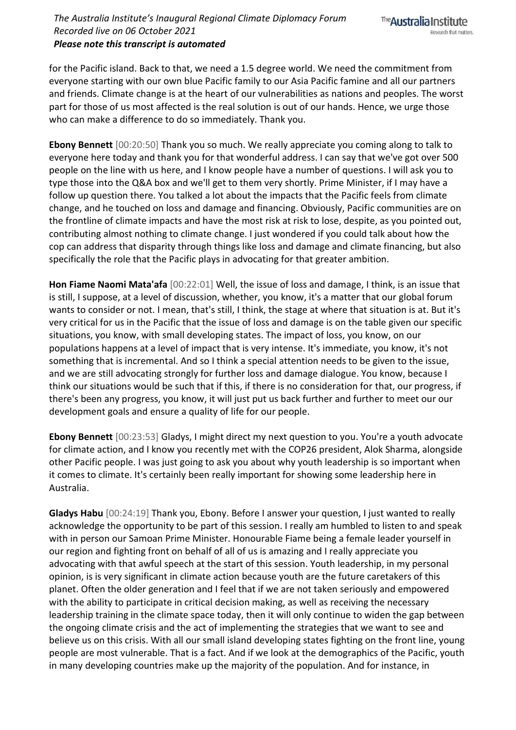for the Pacific island. Back to that, we need a 1.5 degree world. We need the commitment from everyone starting with our own blue Pacific family to our Asia Pacific famine and all our partners and friends. Climate change is at the heart of our vulnerabilities as nations and peoples. The worst part for those of us most affected is the real solution is out of our hands. Hence, we urge those who can make a difference to do so immediately. Thank you.

**Ebony Bennett** [00:20:50] Thank you so much. We really appreciate you coming along to talk to everyone here today and thank you for that wonderful address. I can say that we've got over 500 people on the line with us here, and I know people have a number of questions. I will ask you to type those into the Q&A box and we'll get to them very shortly. Prime Minister, if I may have a follow up question there. You talked a lot about the impacts that the Pacific feels from climate change, and he touched on loss and damage and financing. Obviously, Pacific communities are on the frontline of climate impacts and have the most risk at risk to lose, despite, as you pointed out, contributing almost nothing to climate change. I just wondered if you could talk about how the cop can address that disparity through things like loss and damage and climate financing, but also specifically the role that the Pacific plays in advocating for that greater ambition.

**Hon Fiame Naomi Mata'afa** [00:22:01] Well, the issue of loss and damage, I think, is an issue that is still, I suppose, at a level of discussion, whether, you know, it's a matter that our global forum wants to consider or not. I mean, that's still, I think, the stage at where that situation is at. But it's very critical for us in the Pacific that the issue of loss and damage is on the table given our specific situations, you know, with small developing states. The impact of loss, you know, on our populations happens at a level of impact that is very intense. It's immediate, you know, it's not something that is incremental. And so I think a special attention needs to be given to the issue, and we are still advocating strongly for further loss and damage dialogue. You know, because I think our situations would be such that if this, if there is no consideration for that, our progress, if there's been any progress, you know, it will just put us back further and further to meet our our development goals and ensure a quality of life for our people.

**Ebony Bennett** [00:23:53] Gladys, I might direct my next question to you. You're a youth advocate for climate action, and I know you recently met with the COP26 president, Alok Sharma, alongside other Pacific people. I was just going to ask you about why youth leadership is so important when it comes to climate. It's certainly been really important for showing some leadership here in Australia.

**Gladys Habu** [00:24:19] Thank you, Ebony. Before I answer your question, I just wanted to really acknowledge the opportunity to be part of this session. I really am humbled to listen to and speak with in person our Samoan Prime Minister. Honourable Fiame being a female leader yourself in our region and fighting front on behalf of all of us is amazing and I really appreciate you advocating with that awful speech at the start of this session. Youth leadership, in my personal opinion, is is very significant in climate action because youth are the future caretakers of this planet. Often the older generation and I feel that if we are not taken seriously and empowered with the ability to participate in critical decision making, as well as receiving the necessary leadership training in the climate space today, then it will only continue to widen the gap between the ongoing climate crisis and the act of implementing the strategies that we want to see and believe us on this crisis. With all our small island developing states fighting on the front line, young people are most vulnerable. That is a fact. And if we look at the demographics of the Pacific, youth in many developing countries make up the majority of the population. And for instance, in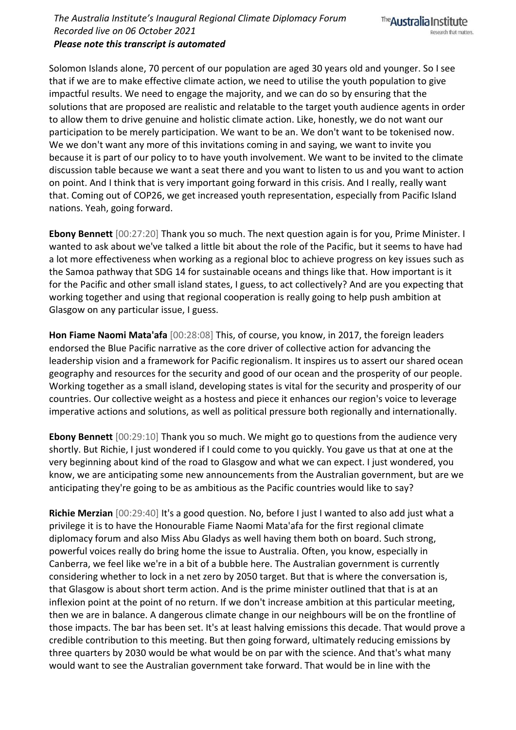Solomon Islands alone, 70 percent of our population are aged 30 years old and younger. So I see that if we are to make effective climate action, we need to utilise the youth population to give impactful results. We need to engage the majority, and we can do so by ensuring that the solutions that are proposed are realistic and relatable to the target youth audience agents in order to allow them to drive genuine and holistic climate action. Like, honestly, we do not want our participation to be merely participation. We want to be an. We don't want to be tokenised now. We we don't want any more of this invitations coming in and saying, we want to invite you because it is part of our policy to to have youth involvement. We want to be invited to the climate discussion table because we want a seat there and you want to listen to us and you want to action on point. And I think that is very important going forward in this crisis. And I really, really want that. Coming out of COP26, we get increased youth representation, especially from Pacific Island nations. Yeah, going forward.

**Ebony Bennett** [00:27:20] Thank you so much. The next question again is for you, Prime Minister. I wanted to ask about we've talked a little bit about the role of the Pacific, but it seems to have had a lot more effectiveness when working as a regional bloc to achieve progress on key issues such as the Samoa pathway that SDG 14 for sustainable oceans and things like that. How important is it for the Pacific and other small island states, I guess, to act collectively? And are you expecting that working together and using that regional cooperation is really going to help push ambition at Glasgow on any particular issue, I guess.

**Hon Fiame Naomi Mata'afa** [00:28:08] This, of course, you know, in 2017, the foreign leaders endorsed the Blue Pacific narrative as the core driver of collective action for advancing the leadership vision and a framework for Pacific regionalism. It inspires us to assert our shared ocean geography and resources for the security and good of our ocean and the prosperity of our people. Working together as a small island, developing states is vital for the security and prosperity of our countries. Our collective weight as a hostess and piece it enhances our region's voice to leverage imperative actions and solutions, as well as political pressure both regionally and internationally.

**Ebony Bennett** [00:29:10] Thank you so much. We might go to questions from the audience very shortly. But Richie, I just wondered if I could come to you quickly. You gave us that at one at the very beginning about kind of the road to Glasgow and what we can expect. I just wondered, you know, we are anticipating some new announcements from the Australian government, but are we anticipating they're going to be as ambitious as the Pacific countries would like to say?

**Richie Merzian** [00:29:40] It's a good question. No, before I just I wanted to also add just what a privilege it is to have the Honourable Fiame Naomi Mata'afa for the first regional climate diplomacy forum and also Miss Abu Gladys as well having them both on board. Such strong, powerful voices really do bring home the issue to Australia. Often, you know, especially in Canberra, we feel like we're in a bit of a bubble here. The Australian government is currently considering whether to lock in a net zero by 2050 target. But that is where the conversation is, that Glasgow is about short term action. And is the prime minister outlined that that is at an inflexion point at the point of no return. If we don't increase ambition at this particular meeting, then we are in balance. A dangerous climate change in our neighbours will be on the frontline of those impacts. The bar has been set. It's at least halving emissions this decade. That would prove a credible contribution to this meeting. But then going forward, ultimately reducing emissions by three quarters by 2030 would be what would be on par with the science. And that's what many would want to see the Australian government take forward. That would be in line with the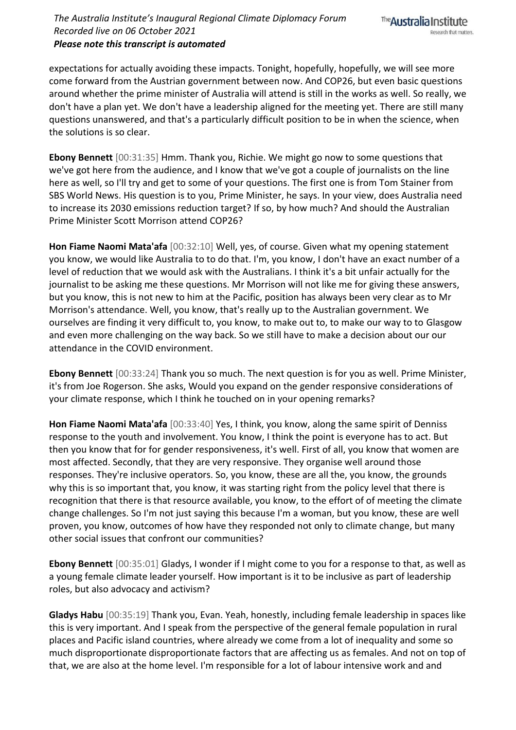expectations for actually avoiding these impacts. Tonight, hopefully, hopefully, we will see more come forward from the Austrian government between now. And COP26, but even basic questions around whether the prime minister of Australia will attend is still in the works as well. So really, we don't have a plan yet. We don't have a leadership aligned for the meeting yet. There are still many questions unanswered, and that's a particularly difficult position to be in when the science, when the solutions is so clear.

**Ebony Bennett** [00:31:35] Hmm. Thank you, Richie. We might go now to some questions that we've got here from the audience, and I know that we've got a couple of journalists on the line here as well, so I'll try and get to some of your questions. The first one is from Tom Stainer from SBS World News. His question is to you, Prime Minister, he says. In your view, does Australia need to increase its 2030 emissions reduction target? If so, by how much? And should the Australian Prime Minister Scott Morrison attend COP26?

**Hon Fiame Naomi Mata'afa** [00:32:10] Well, yes, of course. Given what my opening statement you know, we would like Australia to to do that. I'm, you know, I don't have an exact number of a level of reduction that we would ask with the Australians. I think it's a bit unfair actually for the journalist to be asking me these questions. Mr Morrison will not like me for giving these answers, but you know, this is not new to him at the Pacific, position has always been very clear as to Mr Morrison's attendance. Well, you know, that's really up to the Australian government. We ourselves are finding it very difficult to, you know, to make out to, to make our way to to Glasgow and even more challenging on the way back. So we still have to make a decision about our our attendance in the COVID environment.

**Ebony Bennett** [00:33:24] Thank you so much. The next question is for you as well. Prime Minister, it's from Joe Rogerson. She asks, Would you expand on the gender responsive considerations of your climate response, which I think he touched on in your opening remarks?

**Hon Fiame Naomi Mata'afa** [00:33:40] Yes, I think, you know, along the same spirit of Denniss response to the youth and involvement. You know, I think the point is everyone has to act. But then you know that for for gender responsiveness, it's well. First of all, you know that women are most affected. Secondly, that they are very responsive. They organise well around those responses. They're inclusive operators. So, you know, these are all the, you know, the grounds why this is so important that, you know, it was starting right from the policy level that there is recognition that there is that resource available, you know, to the effort of of meeting the climate change challenges. So I'm not just saying this because I'm a woman, but you know, these are well proven, you know, outcomes of how have they responded not only to climate change, but many other social issues that confront our communities?

**Ebony Bennett** [00:35:01] Gladys, I wonder if I might come to you for a response to that, as well as a young female climate leader yourself. How important is it to be inclusive as part of leadership roles, but also advocacy and activism?

**Gladys Habu** [00:35:19] Thank you, Evan. Yeah, honestly, including female leadership in spaces like this is very important. And I speak from the perspective of the general female population in rural places and Pacific island countries, where already we come from a lot of inequality and some so much disproportionate disproportionate factors that are affecting us as females. And not on top of that, we are also at the home level. I'm responsible for a lot of labour intensive work and and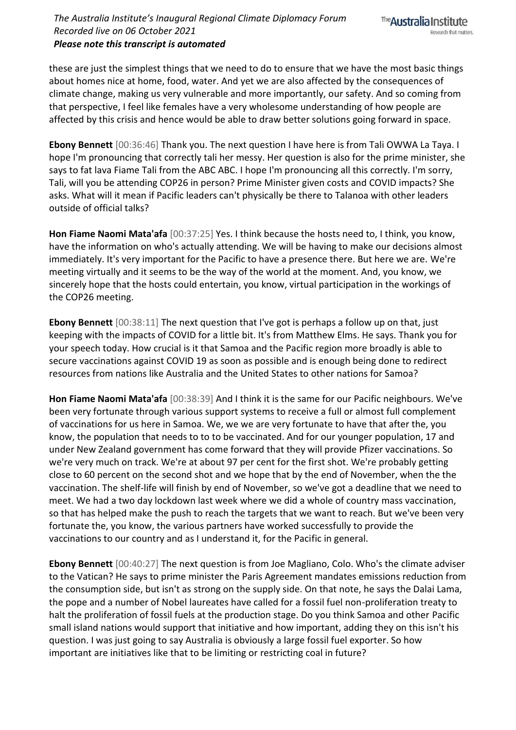## *The Australia Institute's Inaugural Regional Climate Diplomacy Forum Recorded live on 06 October 2021 Please note this transcript is automated*

these are just the simplest things that we need to do to ensure that we have the most basic things about homes nice at home, food, water. And yet we are also affected by the consequences of climate change, making us very vulnerable and more importantly, our safety. And so coming from that perspective, I feel like females have a very wholesome understanding of how people are affected by this crisis and hence would be able to draw better solutions going forward in space.

**Ebony Bennett** [00:36:46] Thank you. The next question I have here is from Tali OWWA La Taya. I hope I'm pronouncing that correctly tali her messy. Her question is also for the prime minister, she says to fat lava Fiame Tali from the ABC ABC. I hope I'm pronouncing all this correctly. I'm sorry, Tali, will you be attending COP26 in person? Prime Minister given costs and COVID impacts? She asks. What will it mean if Pacific leaders can't physically be there to Talanoa with other leaders outside of official talks?

**Hon Fiame Naomi Mata'afa** [00:37:25] Yes. I think because the hosts need to, I think, you know, have the information on who's actually attending. We will be having to make our decisions almost immediately. It's very important for the Pacific to have a presence there. But here we are. We're meeting virtually and it seems to be the way of the world at the moment. And, you know, we sincerely hope that the hosts could entertain, you know, virtual participation in the workings of the COP26 meeting.

**Ebony Bennett** [00:38:11] The next question that I've got is perhaps a follow up on that, just keeping with the impacts of COVID for a little bit. It's from Matthew Elms. He says. Thank you for your speech today. How crucial is it that Samoa and the Pacific region more broadly is able to secure vaccinations against COVID 19 as soon as possible and is enough being done to redirect resources from nations like Australia and the United States to other nations for Samoa?

**Hon Fiame Naomi Mata'afa** [00:38:39] And I think it is the same for our Pacific neighbours. We've been very fortunate through various support systems to receive a full or almost full complement of vaccinations for us here in Samoa. We, we we are very fortunate to have that after the, you know, the population that needs to to to be vaccinated. And for our younger population, 17 and under New Zealand government has come forward that they will provide Pfizer vaccinations. So we're very much on track. We're at about 97 per cent for the first shot. We're probably getting close to 60 percent on the second shot and we hope that by the end of November, when the the vaccination. The shelf-life will finish by end of November, so we've got a deadline that we need to meet. We had a two day lockdown last week where we did a whole of country mass vaccination, so that has helped make the push to reach the targets that we want to reach. But we've been very fortunate the, you know, the various partners have worked successfully to provide the vaccinations to our country and as I understand it, for the Pacific in general.

**Ebony Bennett** [00:40:27] The next question is from Joe Magliano, Colo. Who's the climate adviser to the Vatican? He says to prime minister the Paris Agreement mandates emissions reduction from the consumption side, but isn't as strong on the supply side. On that note, he says the Dalai Lama, the pope and a number of Nobel laureates have called for a fossil fuel non-proliferation treaty to halt the proliferation of fossil fuels at the production stage. Do you think Samoa and other Pacific small island nations would support that initiative and how important, adding they on this isn't his question. I was just going to say Australia is obviously a large fossil fuel exporter. So how important are initiatives like that to be limiting or restricting coal in future?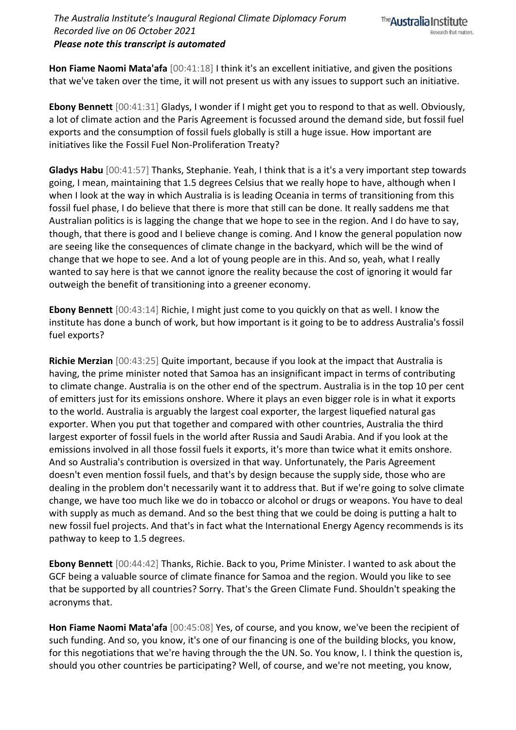**Hon Fiame Naomi Mata'afa** [00:41:18] I think it's an excellent initiative, and given the positions that we've taken over the time, it will not present us with any issues to support such an initiative.

**Ebony Bennett** [00:41:31] Gladys, I wonder if I might get you to respond to that as well. Obviously, a lot of climate action and the Paris Agreement is focussed around the demand side, but fossil fuel exports and the consumption of fossil fuels globally is still a huge issue. How important are initiatives like the Fossil Fuel Non-Proliferation Treaty?

**Gladys Habu** [00:41:57] Thanks, Stephanie. Yeah, I think that is a it's a very important step towards going, I mean, maintaining that 1.5 degrees Celsius that we really hope to have, although when I when I look at the way in which Australia is is leading Oceania in terms of transitioning from this fossil fuel phase, I do believe that there is more that still can be done. It really saddens me that Australian politics is is lagging the change that we hope to see in the region. And I do have to say, though, that there is good and I believe change is coming. And I know the general population now are seeing like the consequences of climate change in the backyard, which will be the wind of change that we hope to see. And a lot of young people are in this. And so, yeah, what I really wanted to say here is that we cannot ignore the reality because the cost of ignoring it would far outweigh the benefit of transitioning into a greener economy.

**Ebony Bennett** [00:43:14] Richie, I might just come to you quickly on that as well. I know the institute has done a bunch of work, but how important is it going to be to address Australia's fossil fuel exports?

**Richie Merzian** [00:43:25] Quite important, because if you look at the impact that Australia is having, the prime minister noted that Samoa has an insignificant impact in terms of contributing to climate change. Australia is on the other end of the spectrum. Australia is in the top 10 per cent of emitters just for its emissions onshore. Where it plays an even bigger role is in what it exports to the world. Australia is arguably the largest coal exporter, the largest liquefied natural gas exporter. When you put that together and compared with other countries, Australia the third largest exporter of fossil fuels in the world after Russia and Saudi Arabia. And if you look at the emissions involved in all those fossil fuels it exports, it's more than twice what it emits onshore. And so Australia's contribution is oversized in that way. Unfortunately, the Paris Agreement doesn't even mention fossil fuels, and that's by design because the supply side, those who are dealing in the problem don't necessarily want it to address that. But if we're going to solve climate change, we have too much like we do in tobacco or alcohol or drugs or weapons. You have to deal with supply as much as demand. And so the best thing that we could be doing is putting a halt to new fossil fuel projects. And that's in fact what the International Energy Agency recommends is its pathway to keep to 1.5 degrees.

**Ebony Bennett** [00:44:42] Thanks, Richie. Back to you, Prime Minister. I wanted to ask about the GCF being a valuable source of climate finance for Samoa and the region. Would you like to see that be supported by all countries? Sorry. That's the Green Climate Fund. Shouldn't speaking the acronyms that.

**Hon Fiame Naomi Mata'afa** [00:45:08] Yes, of course, and you know, we've been the recipient of such funding. And so, you know, it's one of our financing is one of the building blocks, you know, for this negotiations that we're having through the the UN. So. You know, I. I think the question is, should you other countries be participating? Well, of course, and we're not meeting, you know,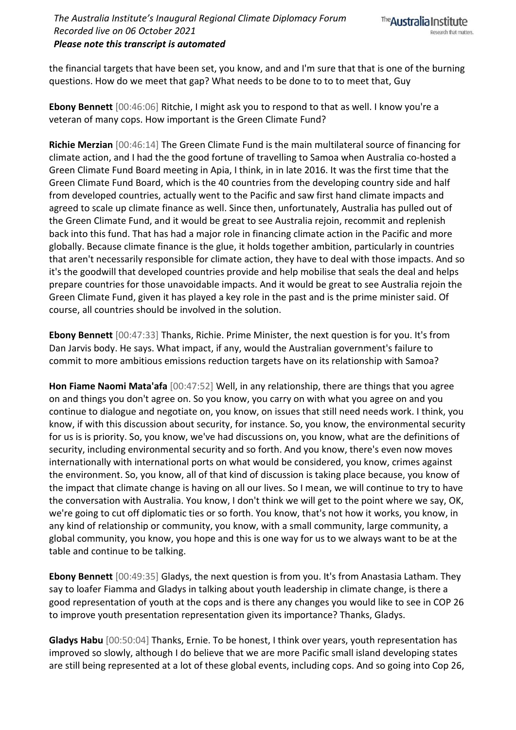the financial targets that have been set, you know, and and I'm sure that that is one of the burning questions. How do we meet that gap? What needs to be done to to to meet that, Guy

**Ebony Bennett** [00:46:06] Ritchie, I might ask you to respond to that as well. I know you're a veteran of many cops. How important is the Green Climate Fund?

**Richie Merzian** [00:46:14] The Green Climate Fund is the main multilateral source of financing for climate action, and I had the the good fortune of travelling to Samoa when Australia co-hosted a Green Climate Fund Board meeting in Apia, I think, in in late 2016. It was the first time that the Green Climate Fund Board, which is the 40 countries from the developing country side and half from developed countries, actually went to the Pacific and saw first hand climate impacts and agreed to scale up climate finance as well. Since then, unfortunately, Australia has pulled out of the Green Climate Fund, and it would be great to see Australia rejoin, recommit and replenish back into this fund. That has had a major role in financing climate action in the Pacific and more globally. Because climate finance is the glue, it holds together ambition, particularly in countries that aren't necessarily responsible for climate action, they have to deal with those impacts. And so it's the goodwill that developed countries provide and help mobilise that seals the deal and helps prepare countries for those unavoidable impacts. And it would be great to see Australia rejoin the Green Climate Fund, given it has played a key role in the past and is the prime minister said. Of course, all countries should be involved in the solution.

**Ebony Bennett** [00:47:33] Thanks, Richie. Prime Minister, the next question is for you. It's from Dan Jarvis body. He says. What impact, if any, would the Australian government's failure to commit to more ambitious emissions reduction targets have on its relationship with Samoa?

**Hon Fiame Naomi Mata'afa** [00:47:52] Well, in any relationship, there are things that you agree on and things you don't agree on. So you know, you carry on with what you agree on and you continue to dialogue and negotiate on, you know, on issues that still need needs work. I think, you know, if with this discussion about security, for instance. So, you know, the environmental security for us is is priority. So, you know, we've had discussions on, you know, what are the definitions of security, including environmental security and so forth. And you know, there's even now moves internationally with international ports on what would be considered, you know, crimes against the environment. So, you know, all of that kind of discussion is taking place because, you know of the impact that climate change is having on all our lives. So I mean, we will continue to try to have the conversation with Australia. You know, I don't think we will get to the point where we say, OK, we're going to cut off diplomatic ties or so forth. You know, that's not how it works, you know, in any kind of relationship or community, you know, with a small community, large community, a global community, you know, you hope and this is one way for us to we always want to be at the table and continue to be talking.

**Ebony Bennett** [00:49:35] Gladys, the next question is from you. It's from Anastasia Latham. They say to loafer Fiamma and Gladys in talking about youth leadership in climate change, is there a good representation of youth at the cops and is there any changes you would like to see in COP 26 to improve youth presentation representation given its importance? Thanks, Gladys.

**Gladys Habu** [00:50:04] Thanks, Ernie. To be honest, I think over years, youth representation has improved so slowly, although I do believe that we are more Pacific small island developing states are still being represented at a lot of these global events, including cops. And so going into Cop 26,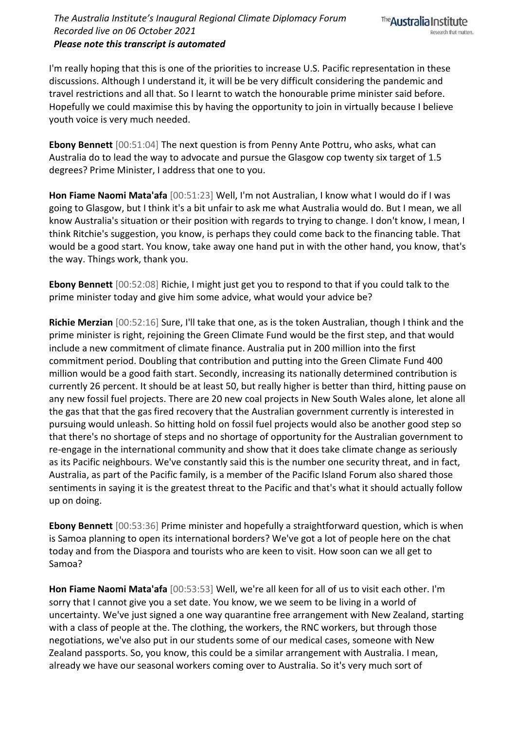## *The Australia Institute's Inaugural Regional Climate Diplomacy Forum Recorded live on 06 October 2021 Please note this transcript is automated*



I'm really hoping that this is one of the priorities to increase U.S. Pacific representation in these discussions. Although I understand it, it will be be very difficult considering the pandemic and travel restrictions and all that. So I learnt to watch the honourable prime minister said before. Hopefully we could maximise this by having the opportunity to join in virtually because I believe youth voice is very much needed.

**Ebony Bennett** [00:51:04] The next question is from Penny Ante Pottru, who asks, what can Australia do to lead the way to advocate and pursue the Glasgow cop twenty six target of 1.5 degrees? Prime Minister, I address that one to you.

**Hon Fiame Naomi Mata'afa** [00:51:23] Well, I'm not Australian, I know what I would do if I was going to Glasgow, but I think it's a bit unfair to ask me what Australia would do. But I mean, we all know Australia's situation or their position with regards to trying to change. I don't know, I mean, I think Ritchie's suggestion, you know, is perhaps they could come back to the financing table. That would be a good start. You know, take away one hand put in with the other hand, you know, that's the way. Things work, thank you.

**Ebony Bennett** [00:52:08] Richie, I might just get you to respond to that if you could talk to the prime minister today and give him some advice, what would your advice be?

**Richie Merzian** [00:52:16] Sure, I'll take that one, as is the token Australian, though I think and the prime minister is right, rejoining the Green Climate Fund would be the first step, and that would include a new commitment of climate finance. Australia put in 200 million into the first commitment period. Doubling that contribution and putting into the Green Climate Fund 400 million would be a good faith start. Secondly, increasing its nationally determined contribution is currently 26 percent. It should be at least 50, but really higher is better than third, hitting pause on any new fossil fuel projects. There are 20 new coal projects in New South Wales alone, let alone all the gas that that the gas fired recovery that the Australian government currently is interested in pursuing would unleash. So hitting hold on fossil fuel projects would also be another good step so that there's no shortage of steps and no shortage of opportunity for the Australian government to re-engage in the international community and show that it does take climate change as seriously as its Pacific neighbours. We've constantly said this is the number one security threat, and in fact, Australia, as part of the Pacific family, is a member of the Pacific Island Forum also shared those sentiments in saying it is the greatest threat to the Pacific and that's what it should actually follow up on doing.

**Ebony Bennett** [00:53:36] Prime minister and hopefully a straightforward question, which is when is Samoa planning to open its international borders? We've got a lot of people here on the chat today and from the Diaspora and tourists who are keen to visit. How soon can we all get to Samoa?

**Hon Fiame Naomi Mata'afa** [00:53:53] Well, we're all keen for all of us to visit each other. I'm sorry that I cannot give you a set date. You know, we we seem to be living in a world of uncertainty. We've just signed a one way quarantine free arrangement with New Zealand, starting with a class of people at the. The clothing, the workers, the RNC workers, but through those negotiations, we've also put in our students some of our medical cases, someone with New Zealand passports. So, you know, this could be a similar arrangement with Australia. I mean, already we have our seasonal workers coming over to Australia. So it's very much sort of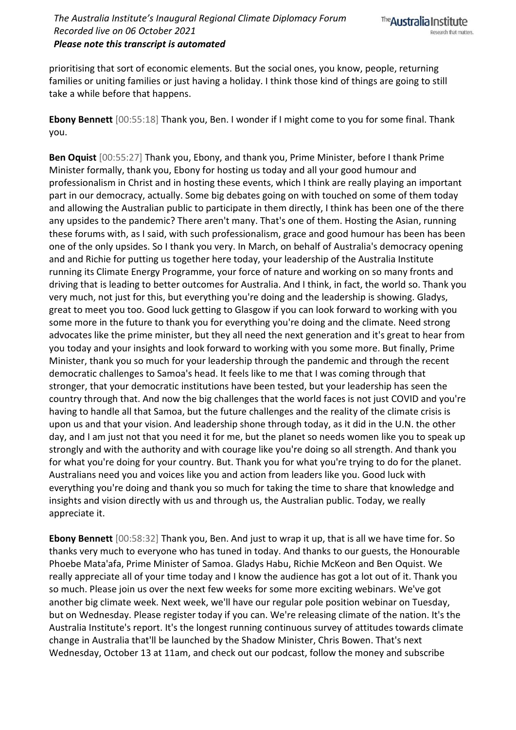prioritising that sort of economic elements. But the social ones, you know, people, returning families or uniting families or just having a holiday. I think those kind of things are going to still take a while before that happens.

**Ebony Bennett** [00:55:18] Thank you, Ben. I wonder if I might come to you for some final. Thank you.

**Ben Oquist** [00:55:27] Thank you, Ebony, and thank you, Prime Minister, before I thank Prime Minister formally, thank you, Ebony for hosting us today and all your good humour and professionalism in Christ and in hosting these events, which I think are really playing an important part in our democracy, actually. Some big debates going on with touched on some of them today and allowing the Australian public to participate in them directly, I think has been one of the there any upsides to the pandemic? There aren't many. That's one of them. Hosting the Asian, running these forums with, as I said, with such professionalism, grace and good humour has been has been one of the only upsides. So I thank you very. In March, on behalf of Australia's democracy opening and and Richie for putting us together here today, your leadership of the Australia Institute running its Climate Energy Programme, your force of nature and working on so many fronts and driving that is leading to better outcomes for Australia. And I think, in fact, the world so. Thank you very much, not just for this, but everything you're doing and the leadership is showing. Gladys, great to meet you too. Good luck getting to Glasgow if you can look forward to working with you some more in the future to thank you for everything you're doing and the climate. Need strong advocates like the prime minister, but they all need the next generation and it's great to hear from you today and your insights and look forward to working with you some more. But finally, Prime Minister, thank you so much for your leadership through the pandemic and through the recent democratic challenges to Samoa's head. It feels like to me that I was coming through that stronger, that your democratic institutions have been tested, but your leadership has seen the country through that. And now the big challenges that the world faces is not just COVID and you're having to handle all that Samoa, but the future challenges and the reality of the climate crisis is upon us and that your vision. And leadership shone through today, as it did in the U.N. the other day, and I am just not that you need it for me, but the planet so needs women like you to speak up strongly and with the authority and with courage like you're doing so all strength. And thank you for what you're doing for your country. But. Thank you for what you're trying to do for the planet. Australians need you and voices like you and action from leaders like you. Good luck with everything you're doing and thank you so much for taking the time to share that knowledge and insights and vision directly with us and through us, the Australian public. Today, we really appreciate it.

**Ebony Bennett** [00:58:32] Thank you, Ben. And just to wrap it up, that is all we have time for. So thanks very much to everyone who has tuned in today. And thanks to our guests, the Honourable Phoebe Mata'afa, Prime Minister of Samoa. Gladys Habu, Richie McKeon and Ben Oquist. We really appreciate all of your time today and I know the audience has got a lot out of it. Thank you so much. Please join us over the next few weeks for some more exciting webinars. We've got another big climate week. Next week, we'll have our regular pole position webinar on Tuesday, but on Wednesday. Please register today if you can. We're releasing climate of the nation. It's the Australia Institute's report. It's the longest running continuous survey of attitudes towards climate change in Australia that'll be launched by the Shadow Minister, Chris Bowen. That's next Wednesday, October 13 at 11am, and check out our podcast, follow the money and subscribe